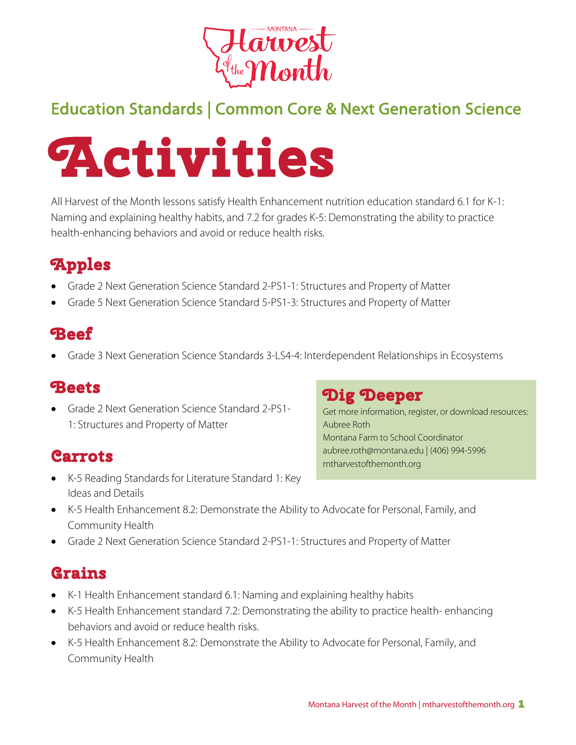

## Education Standards | Common Core & Next Generation Science



All Harvest of the Month lessons satisfy Health Enhancement nutrition education standard 6.1 for K-1: Naming and explaining healthy habits, and 7.2 for grades K-5: Demonstrating the ability to practice health-enhancing behaviors and avoid or reduce health risks.

# **Apples**

- Grade 2 Next Generation Science Standard 2-PS1-1: Structures and Property of Matter
- Grade 5 Next Generation Science Standard 5-PS1-3: Structures and Property of Matter

### **Beef**

• Grade 3 Next Generation Science Standards 3-LS4-4: Interdependent Relationships in Ecosystems

#### **Beets**

• Grade 2 Next Generation Science Standard 2-PS1- 1: Structures and Property of Matter

#### **Carrots**

• K-5 Reading Standards for Literature Standard 1: Key Ideas and Details

#### **Dig Deeper**

Get more information, register, or download resources: Aubree Roth Montana Farm to School Coordinator aubree.roth@montana.edu | (406) 994-5996 mtharvestofthemonth.org

- K-5 Health Enhancement 8.2: Demonstrate the Ability to Advocate for Personal, Family, and Community Health
- Grade 2 Next Generation Science Standard 2-PS1-1: Structures and Property of Matter

### **Grains**

- K-1 Health Enhancement standard 6.1: Naming and explaining healthy habits
- K-5 Health Enhancement standard 7.2: Demonstrating the ability to practice health- enhancing behaviors and avoid or reduce health risks.
- K-5 Health Enhancement 8.2: Demonstrate the Ability to Advocate for Personal, Family, and Community Health